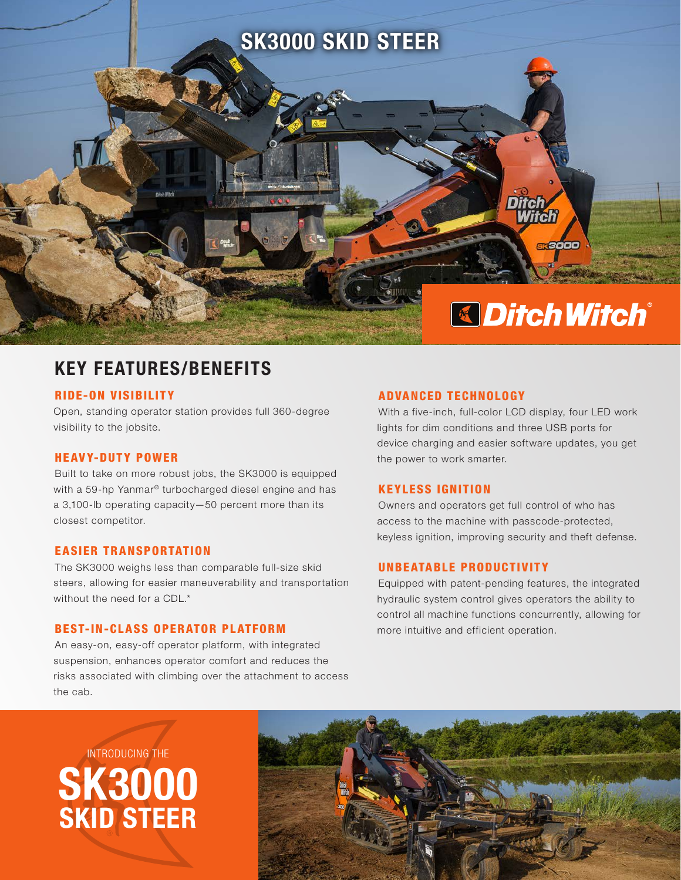

# KEY FEATURES/BENEFITS

#### RIDE-ON VISIBILITY

Open, standing operator station provides full 360-degree visibility to the jobsite.

## HEAVY-DUTY POWER

Built to take on more robust jobs, the SK3000 is equipped with a 59-hp Yanmar® turbocharged diesel engine and has a 3,100-lb operating capacity—50 percent more than its closest competitor.

### EASIER TRANSPORTATION

The SK3000 weighs less than comparable full-size skid steers, allowing for easier maneuverability and transportation without the need for a CDL.\*

#### **BEST-IN-CLASS OPERATOR PLATFORM**

An easy-on, easy-off operator platform, with integrated suspension, enhances operator comfort and reduces the risks associated with climbing over the attachment to access the cab.

#### ADVANCED TECHNOLOGY

With a five-inch, full-color LCD display, four LED work lights for dim conditions and three USB ports for device charging and easier software updates, you get the power to work smarter.

#### KEYLESS IGNITION

Owners and operators get full control of who has access to the machine with passcode-protected, keyless ignition, improving security and theft defense.

### UNBEATABLE PRODUCTIVITY

Equipped with patent-pending features, the integrated hydraulic system control gives operators the ability to control all machine functions concurrently, allowing for more intuitive and efficient operation.

# SK3000 SKID STEER INTRODUCING THE